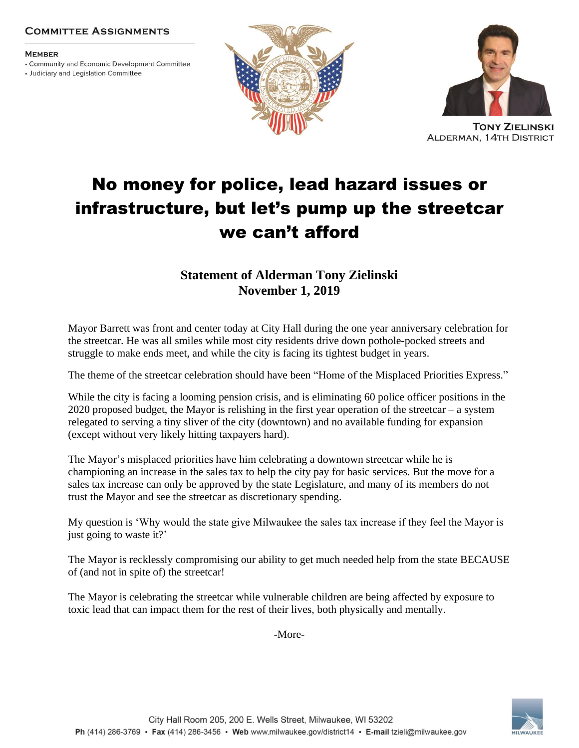## **COMMITTEE ASSIGNMENTS**

#### **MEMBER**

• Community and Economic Development Committee

• Judiciary and Legislation Committee





**TONY ZIELINSKI ALDERMAN, 14TH DISTRICT** 

# No money for police, lead hazard issues or infrastructure, but let's pump up the streetcar we can't afford

# **Statement of Alderman Tony Zielinski November 1, 2019**

Mayor Barrett was front and center today at City Hall during the one year anniversary celebration for the streetcar. He was all smiles while most city residents drive down pothole-pocked streets and struggle to make ends meet, and while the city is facing its tightest budget in years.

The theme of the streetcar celebration should have been "Home of the Misplaced Priorities Express."

While the city is facing a looming pension crisis, and is eliminating 60 police officer positions in the 2020 proposed budget, the Mayor is relishing in the first year operation of the streetcar – a system relegated to serving a tiny sliver of the city (downtown) and no available funding for expansion (except without very likely hitting taxpayers hard).

The Mayor's misplaced priorities have him celebrating a downtown streetcar while he is championing an increase in the sales tax to help the city pay for basic services. But the move for a sales tax increase can only be approved by the state Legislature, and many of its members do not trust the Mayor and see the streetcar as discretionary spending.

My question is 'Why would the state give Milwaukee the sales tax increase if they feel the Mayor is just going to waste it?'

The Mayor is recklessly compromising our ability to get much needed help from the state BECAUSE of (and not in spite of) the streetcar!

The Mayor is celebrating the streetcar while vulnerable children are being affected by exposure to toxic lead that can impact them for the rest of their lives, both physically and mentally.

-More-